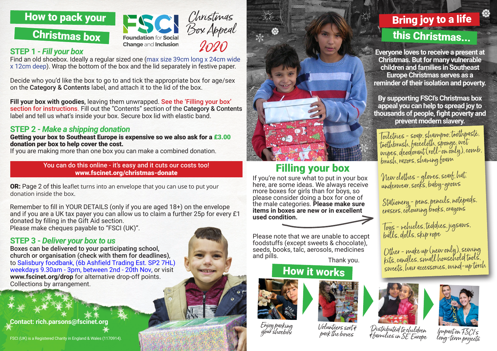



### **STEP 1 -** *Fill your box*

Find an old shoebox. Ideally a regular si[zed one \(max size 39cm long x 24cm wide](https://www.fscinet.org/what-we-do/christmas-box-appeal/)  x 12cm deep). Wrap the bottom of the box and the lid separately in festive paper.

Decide who you'd like the box to go to and tick the appropriate box for age/sex on the Category & Contents label, and attach it to the lid of the box.

**Fill your box with goodies**, leaving them unwrapped. See the 'Filling your box' section for instructions. Fill out the "Contents" section of the Category & Contents label and tell us what's inside your box. Secure box lid with elastic band.

## **STEP 2 -** *Make a shipping donation*

Getting your box to Southeast Europe is expensive so we also ask for a £3.00 donation per box to help cover the cost.

If you are making more than one box you can make a combined donation.

You can do this online - it's easy and it cuts our costs too! [www.fscinet.org/christmas-donate](http://www.fscinet.org/christmas-donate)

**OR:** Page 2 of this leaflet turns into an envelope that you can use to put your donation inside the box.

Remember to fill in YOUR DETAILS (only if you are aged 18+) on the envelope and if you are a UK tax payer you can allow us to claim a further 25p for every £1 donated by filling in the Gift Aid section. Please make cheques payable to "FSCI (UK)".

### **STEP 3 -** *Deliver your box to us*

Boxes can be delivered to your participating school, church or organisation (check with them for deadlines), to Salisbury foodbank, (6b Ashfield Trading Est. SP2 7HL) weekdays 9.30am - 3pm, between 2nd - 20th Nov, or visit **www.fscinet.org/drop** for alternative drop-off points. Collections by arrangement.

**Contact: rich.parsons@fscinet.org**





# Filling your box

If you're not sure what to put in your box here, are some ideas. We always receive more boxes for girls than for boys, so please consider doing a box for one of the male categories. **Please make sure items in boxes are new or in excellent used condition.**

Please note that we are unable to accept foodstuffs (except sweets & chocolate), seeds, books, talc, aerosols, medicines and pills. Thank you.

## How it works



Enjoy packing your shoebox



Volunteers sort &

Bring joy to a life this Christmas...

**Everyone loves to receive a present at Christmas. But for many vulnerable children and families in Southeast Europe Christmas serves as a reminder of their isolation and poverty.**

**By supporting FSCI's Christmas box appeal you can help to spread joy to thousands of people, fight poverty and prevent modern slavery.** 

Toiletries - soap, shampoo, toothpaste, toothbrush, facecloth, sponge, wet wipes, deodorant (roll-on only), comb, brush, razors, shaving foam

New clothes - gloves, scarf, hat, underwear, socks, baby-grows

Stationery - pens, pencils, notepads, erasers, colouring books, crayons

Toys - vehicles, teddies, jigsaws, balls, dolls, skip rope

Other - make up (new only), sewing kits, candles, small household tools, sweets, hair accessories, wind-up torch





pack the boxes Distributed to children & families in SE Europe

Impact on FSCI's long-term projects